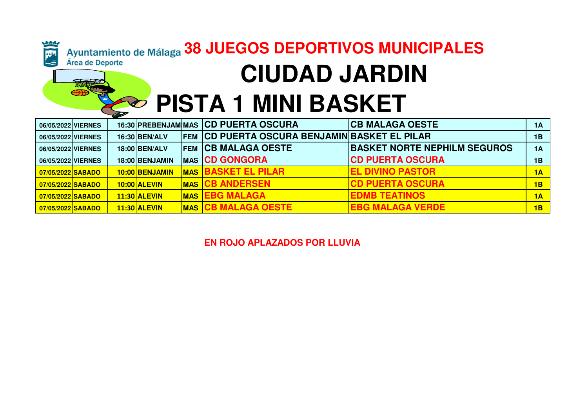## Ě Ayuntamiento de Málaga 38 JUEGOS DEPORTIVOS MUNICIPALES Área de Deporte  **CIUDAD JARDIN**毒 **PISTA 1 MINI BASKET**

| 06/05/2022 VIERNES |  |                      |            | 16:30 PREBENJAM MAS CD PUERTA OSCURA                  | <b>CB MALAGA OESTE</b>              | <b>1A</b> |
|--------------------|--|----------------------|------------|-------------------------------------------------------|-------------------------------------|-----------|
| 06/05/2022 VIERNES |  | <b>16:30 BEN/ALV</b> |            | <b>FEM ICD PUERTA OSCURA BENJAMIN BASKET EL PILAR</b> |                                     | 1B        |
| 06/05/2022 VIERNES |  | <b>18:00 BEN/ALV</b> |            | <b>FEM CB MALAGA OESTE</b>                            | <b>BASKET NORTE NEPHILM SEGUROS</b> | 1A        |
| 06/05/2022 VIERNES |  | 18:00 BENJAMIN       |            | <b>MAS CD GONGORA</b>                                 | <b>CD PUERTA OSCURA</b>             | 1B        |
| 07/05/2022 SABADO  |  | 10:00 BENJAMIN       | <b>MAS</b> | <b>BASKET EL PILAR</b>                                | <b>EL DIVINO PASTOR</b>             | 1A        |
| 07/05/2022 SABADO  |  | 10:00 ALEVIN         | <b>MAS</b> | <b>ICB ANDERSEN</b>                                   | <b>CD PUERTA OSCURA</b>             | 1B        |
| 07/05/2022 SABADO  |  | <b>11:30 ALEVIN</b>  | <b>MAS</b> | <b>EBG MALAGA</b>                                     | <b>EDMB TEATINOS</b>                | 1A        |
| 07/05/2022 SABADO  |  | 11:30 ALEVIN         |            | <b>MAS CB MALAGA OESTE</b>                            | <b>EBG MALAGA VERDE</b>             | 1B        |
|                    |  |                      |            |                                                       |                                     |           |

**EN ROJO APLAZADOS POR LLUVIA**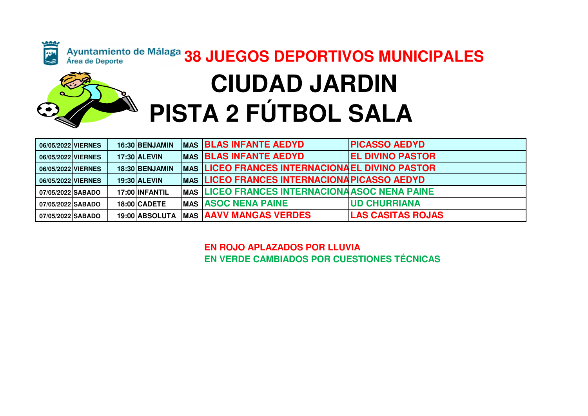

## Ayuntamiento de Málaga 38 JUEGOS DEPORTIVOS MUNICIPALES  **CIUDAD JARDINPISTA 2 FÚTBOL SALA**

| 06/05/2022 VIERNES |  | 16:30 BENJAMIN | <b>IMAS BLAS INFANTE AEDYD</b>                         | <b>PICASSO AEDYD</b>     |
|--------------------|--|----------------|--------------------------------------------------------|--------------------------|
| 06/05/2022 VIERNES |  | 17:30 ALEVIN   | <b>IMAS BLAS INFANTE AEDYD</b>                         | <b>EL DIVINO PASTOR</b>  |
| 06/05/2022 VIERNES |  | 18:30 BENJAMIN | <b>IMAS LICEO FRANCES INTERNACIONAEL DIVINO PASTOR</b> |                          |
| 06/05/2022 VIERNES |  | 19:30 ALEVIN   | <b>IMAS LICEO FRANCES INTERNACIONA PICASSO AEDYD</b>   |                          |
| 07/05/2022 SABADO  |  | 17:00 INFANTIL | <b>MAS LICEO FRANCES INTERNACIONA ASOC NENA PAINE</b>  |                          |
| 07/05/2022 SABADO  |  | 18:00 CADETE   | <b>IMAS AASOC NENA PAINE</b>                           | <b>UD CHURRIANA</b>      |
| 07/05/2022 SABADO  |  | 19:00 ABSOLUTA | <b>MAS AAVV MANGAS VERDES</b>                          | <b>LAS CASITAS ROJAS</b> |

**EN ROJO APLAZADOS POR LLUVIAEN VERDE CAMBIADOS POR CUESTIONES TÉCNICAS**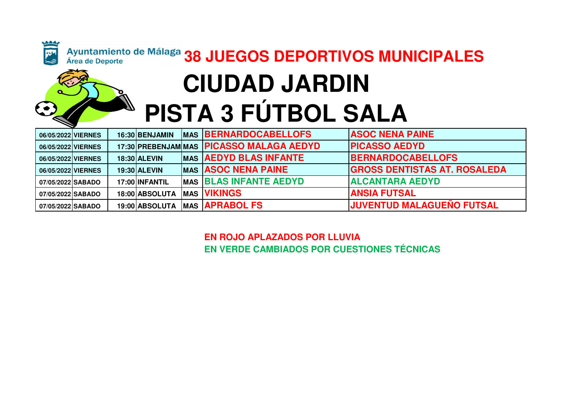

Ayuntamiento de Málaga 38 JUEGOS DEPORTIVOS MUNICIPALES **CIUDAD JARDINPISTA 3 FÚTBOL SALA**

| 06/05/2022 VIERNES |  | 16:30 BENJAMIN | <b>MAS BERNARDOCABELLOFS</b>             | <b>ASOC NENA PAINE</b>              |
|--------------------|--|----------------|------------------------------------------|-------------------------------------|
| 06/05/2022 VIERNES |  |                | 17:30 PREBENJAMIMAS PICASSO MALAGA AEDYD | <b>PICASSO AEDYD</b>                |
| 06/05/2022 VIERNES |  | 18:30 ALEVIN   | <b>MAS AEDYD BLAS INFANTE</b>            | <b>BERNARDOCABELLOFS</b>            |
| 06/05/2022 VIERNES |  | 19:30 ALEVIN   | <b>MAS ASOC NENA PAINE</b>               | <b>GROSS DENTISTAS AT. ROSALEDA</b> |
| 07/05/2022 SABADO  |  | 17:00 INFANTIL | <b>MAS BLAS INFANTE AEDYD</b>            | <b>ALCANTARA AEDYD</b>              |
| 07/05/2022 SABADO  |  | 18:00 ABSOLUTA | MAS <b>VIKINGS</b>                       | <b>ANSIA FUTSAL</b>                 |
| 07/05/2022 SABADO  |  |                | 19:00 ABSOLUTA   MAS   APRABOL FS        | <b>JUVENTUD MALAGUEÑO FUTSAL</b>    |

**EN ROJO APLAZADOS POR LLUVIAEN VERDE CAMBIADOS POR CUESTIONES TÉCNICAS**